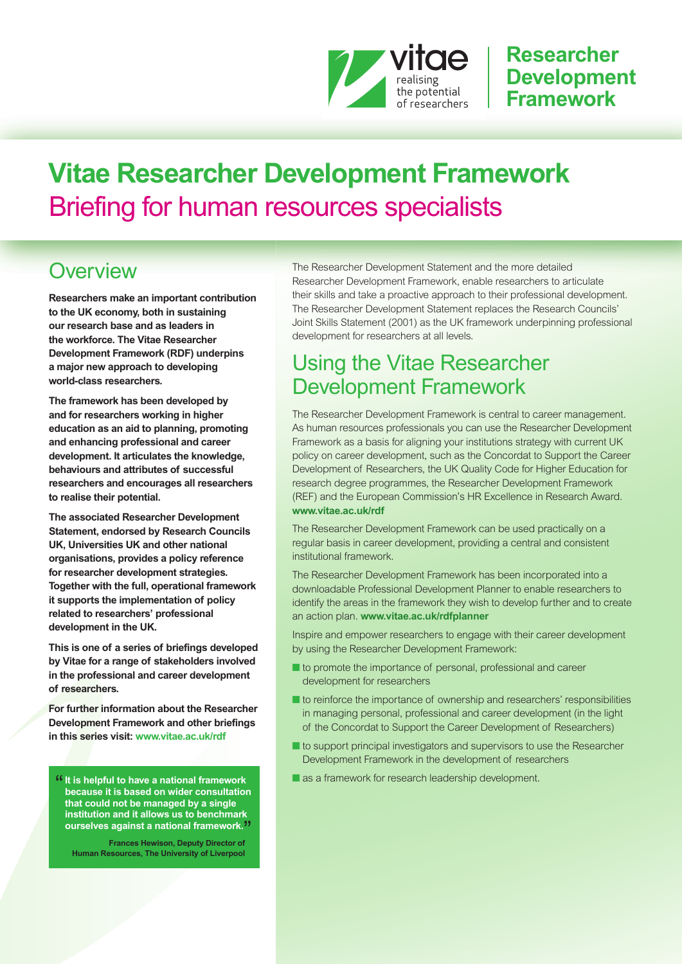

### **Researcher Development Framework**

# **Vitae Researcher Development Framework** Briefing for human resources specialists

### **Overview**

**Researchers make an important contribution to the UK economy, both in sustaining our research base and as leaders in the workforce. The Vitae Researcher Development Framework (RDF) underpins a major new approach to developing world-class researchers.**

**The framework has been developed by and for researchers working in higher education as an aid to planning, promoting and enhancing professional and career development. It articulates the knowledge, behaviours and attributes of successful researchers and encourages all researchers to realise their potential.**

**The associated Researcher Development Statement, endorsed by Research Councils UK, Universities UK and other national organisations, provides a policy reference for researcher development strategies. Together with the full, operational framework it supports the implementation of policy related to researchers' professional development in the UK.**

**This is one of a series of briefings developed by Vitae for a range of stakeholders involved in the professional and career development of researchers.**

**For further information about the Researcher Development Framework and other briefings in this series visit: [www.vitae.ac.uk/rdf](http://www.vitae.ac.uk/rdf)**

"**It is helpful to have <sup>a</sup> national framework because it is based on wider consultation that could not be managed by a single institution and it allows us to benchmark ourselves against a national framework.** "

**Frances Hewison, Deputy Director of Human Resources, The University of Liverpool**

The Researcher Development Statement and the more detailed Researcher Development Framework, enable researchers to articulate their skills and take a proactive approach to their professional development. The Researcher Development Statement replaces the Research Councils' Joint Skills Statement (2001) as the UK framework underpinning professional development for researchers at all levels.

### Using the Vitae Researcher Development Framework

The Researcher Development Framework is central to career management. As human resources professionals you can use the Researcher Development Framework as a basis for aligning your institutions strategy with current UK policy on career development, such as the Concordat to Support the Career Development of Researchers, the UK Quality Code for Higher Education for research degree programmes, the Researcher Development Framework (REF) and the European Commission's HR Excellence in Research Award. **[www.vitae.ac.uk/rdf](http://www.vitae.ac.uk/rdf)**

The Researcher Development Framework can be used practically on a regular basis in career development, providing a central and consistent institutional framework.

The Researcher Development Framework has been incorporated into a downloadable Professional Development Planner to enable researchers to identify the areas in the framework they wish to develop further and to create an action plan. **[www.vitae.ac.uk/rdfplanner](http://www.vitae.ac.uk/rdfplanner)**

Inspire and empower researchers to engage with their career development by using the Researcher Development Framework:

- **■** to promote the importance of personal, professional and career development for researchers
- to reinforce the importance of ownership and researchers' responsibilities in managing personal, professional and career development (in the light of the Concordat to Support the Career Development of Researchers)
- to support principal investigators and supervisors to use the Researcher Development Framework in the development of researchers
- as a framework for research leadership development.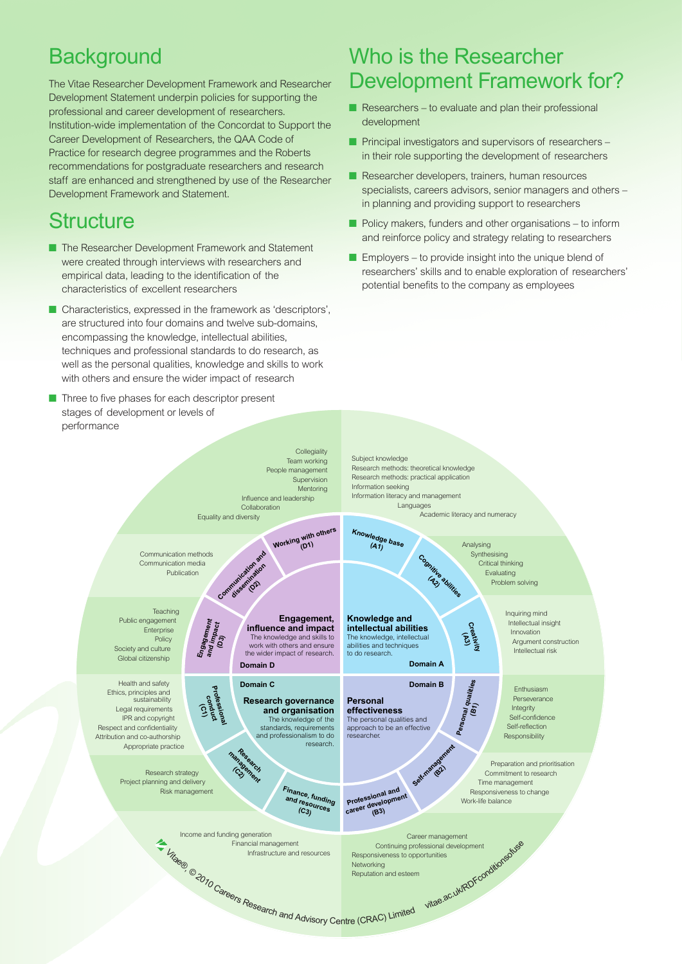## **Background**

The Vitae Researcher Development Framework and Researcher Development Statement underpin policies for supporting the professional and career development of researchers. Institution-wide implementation of the Concordat to Support the Career Development of Researchers, the QAA Code of Practice for research degree programmes and the Roberts recommendations for postgraduate researchers and research staff are enhanced and strengthened by use of the Researcher Development Framework and Statement.

## **Structure**

- **■** The Researcher Development Framework and Statement were created through interviews with researchers and empirical data, leading to the identification of the characteristics of excellent researchers
- Characteristics, expressed in the framework as 'descriptors', are structured into four domains and twelve sub-domains, encompassing the knowledge, intellectual abilities, techniques and professional standards to do research, as well as the personal qualities, knowledge and skills to work with others and ensure the wider impact of research
- Three to five phases for each descriptor present stages of development or levels of performance

### Who is the Researcher Development Framework for?

- Researchers to evaluate and plan their professional development
- **■** Principal investigators and supervisors of researchers in their role supporting the development of researchers
- Researcher developers, trainers, human resources specialists, careers advisors, senior managers and others – in planning and providing support to researchers
- Policy makers, funders and other organisations to inform and reinforce policy and strategy relating to researchers
- Employers to provide insight into the unique blend of researchers' skills and to enable exploration of researchers' potential benefits to the company as employees

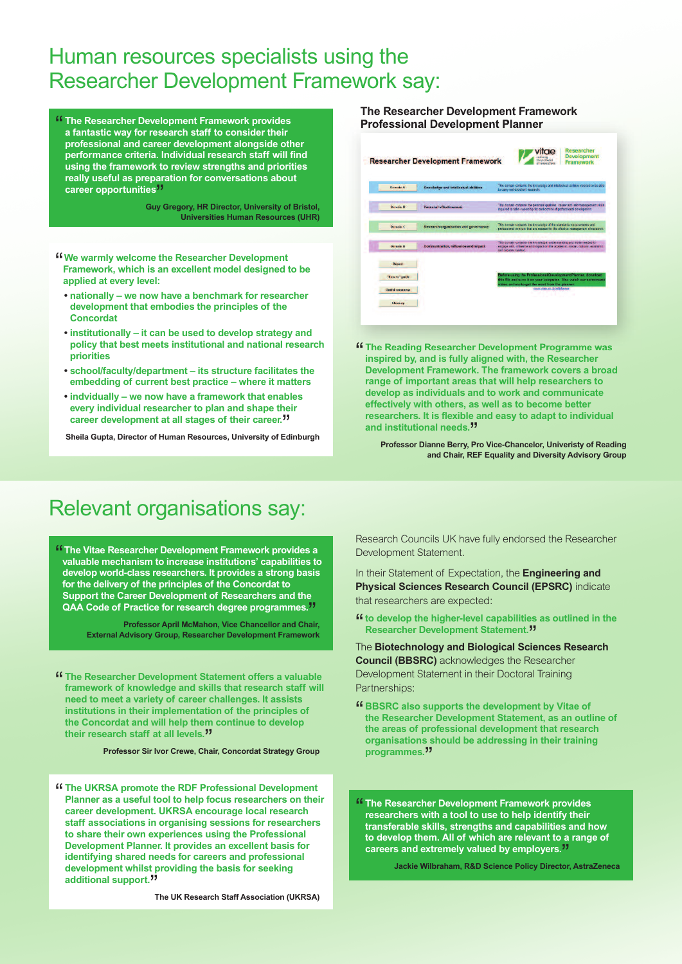### Human resources specialists using the Researcher Development Framework say:

" **The Researcher Development Framework provides a fantastic way for research staff to consider their professional and career development alongside other performance criteria. Individual research staff will find using the framework to review strengths and priorities really useful as preparation for conversations about career opportunities** "

**Guy Gregory, HR Director, University of Bristol, Universities Human Resources (UHR)**

- " **We warmly welcome the Researcher Development Framework, which is an excellent model designed to be applied at every level:**
	- **• nationally – we now have a benchmark for researcher development that embodies the principles of the Concordat**
	- **• institutionally – it can be used to develop strategy and policy that best meets institutional and national research priorities**
	- **• school/faculty/department – its structure facilitates the embedding of current best practice – where it matters**
	- **• indvidually – we now have a framework that enables every individual researcher to plan and shape their career development at all stages of their career.** "

**Sheila Gupta, Director of Human Resources, University of Edinburgh**

#### **The Researcher Development Framework Professional Development Planner**

|                          | <b>Researcher Development Framework</b>     | <b>Development</b><br>the actions in<br><b>Framework</b><br>of canauscritors                                                                                                    |
|--------------------------|---------------------------------------------|---------------------------------------------------------------------------------------------------------------------------------------------------------------------------------|
| <b>Domain A</b>          | <b>Knowledge and intellectual abilities</b> | This demain contains the knowledge and interlectual at litios needed to be able<br>to complete indicate too quantity                                                            |
| Dereche B                | <b>Personal effectiveness</b>               | This domain contains the personal qualities, cases and self-management skills.<br>mg.cod to take queechip for and control of professional prodoproters                          |
| <b>Detective</b>         | Research organisation and governance        | This domain contains the knowledge of the standards, requirements and<br>professional conduct that are reached for the whechive management of research.                         |
| Deposits D               | Communication, influence and impact         | This domain contains the knowledge, circleratoricing and stella meded to<br>engage with influence and impact on the academic, social cultural, economic<br>sed hinader context. |
| Report                   |                                             |                                                                                                                                                                                 |
| Ties to "guide           |                                             | Before using the Professional Quvalopment Planner, download<br>this flie and save it on your computer. Also watch our screencast                                                |
| <b>United reconnoist</b> |                                             | video on how to get the most from the planner.<br>smos vitas az újciráfskemer                                                                                                   |
| Glennary                 |                                             |                                                                                                                                                                                 |

" **The Reading Researcher Development Programme was inspired by, and is fully aligned with, the Researcher Development Framework. The framework covers a broad range of important areas that will help researchers to develop as individuals and to work and communicate effectively with others, as well as to become better researchers. It is flexible and easy to adapt to individual and institutional needs.** "

**Professor Dianne Berry, Pro Vice-Chancelor, Univeristy of Reading and Chair, REF Equality and Diversity Advisory Group**

### Relevant organisations say:

" **The Vitae Researcher Development Framework provides a valuable mechanism to increase institutions' capabilities to develop world-class researchers. It provides a strong basis for the delivery of the principles of the Concordat to Support the Career Development of Researchers and the QAA Code of Practice for research degree programmes.** "

**Professor April McMahon, Vice Chancellor and Chair, External Advisory Group, Researcher Development Framework**

" **The Researcher Development Statement offers <sup>a</sup> valuable framework of knowledge and skills that research staff will need to meet a variety of career challenges. It assists institutions in their implementation of the principles of the Concordat and will help them continue to develop their research staff at all levels.** "

**Professor Sir Ivor Crewe, Chair, Concordat Strategy Group**

"The UKRSA promote the RDF Professional Development<br>Planner as a useful tool to help focus researchers on their **career development. UKRSA encourage local research staff associations in organising sessions for researchers to share their own experiences using the Professional Development Planner. It provides an excellent basis for identifying shared needs for careers and professional development whilst providing the basis for seeking additional support.** "

**The UK Research Staff Association (UKRSA)**

Research Councils UK have fully endorsed the Researcher Development Statement.

In their Statement of Expectation, the **Engineering and Physical Sciences Research Council (EPSRC)** indicate that researchers are expected:

"**to develop the higher-level capabilities as outlined in the Researcher Development Statement.** "

The **Biotechnology and Biological Sciences Research Council (BBSRC)** acknowledges the Researcher Development Statement in their Doctoral Training Partnerships:

- " **BBSRC also supports the development by Vitae of the Researcher Development Statement, as an outline of the areas of professional development that research organisations should be addressing in their training programmes.** "
- " **The Researcher Development Framework provides researchers with a tool to use to help identify their transferable skills, strengths and capabilities and how to develop them. All of which are relevant to a range of careers and extremely valued by employers.** "

**Jackie Wilbraham, R&D Science Policy Director, AstraZeneca**